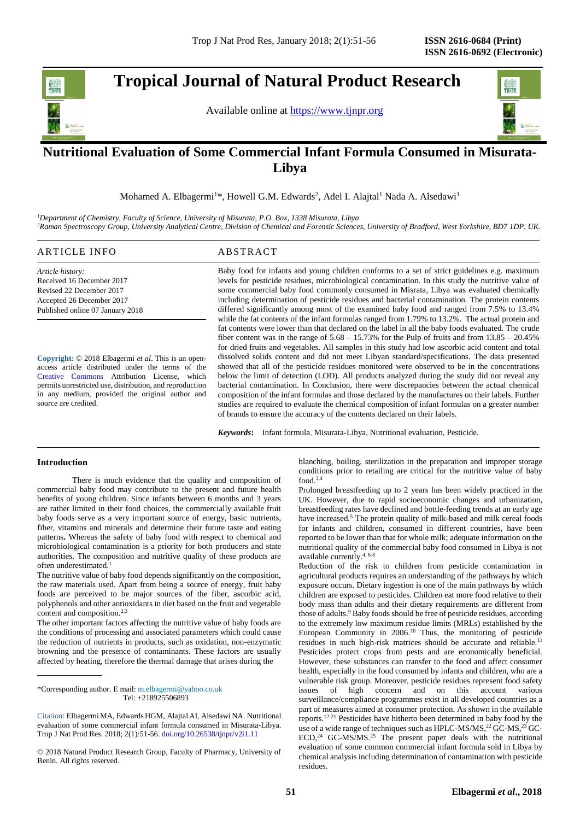# **Tropical Journal of Natural Product Research**

Available online at [https://www.tjnpr.org](https://www.tjnpr.org/)



## . **Nutritional Evaluation of Some Commercial Infant Formula Consumed in Misurata-Libya**

Mohamed A. Elbagermi<sup>1\*</sup>, Howell G.M. Edwards<sup>2</sup>, Adel I. Alajtal<sup>1</sup> Nada A. Alsedawi<sup>1</sup>

*<sup>1</sup>Department of Chemistry, Faculty of Science, University of Misurata, P.O. Box, 1338 Misurata, Libya <sup>2</sup>Raman Spectroscopy Group, University Analytical Centre, Division of Chemical and Forensic Sciences, University of Bradford, West Yorkshire, BD7 1DP, UK.*

## ARTICLE INFO ABSTRACT

*Article history:* Received 16 December 2017 Revised 22 December 2017 Accepted 26 December 2017 Published online 07 January 2018

**Copyright:** © 2018 Elbagermi *et al*. This is an openaccess article distributed under the terms of the [Creative Commons](https://creativecommons.org/licenses/by/4.0/) Attribution License, which permits unrestricted use, distribution, and reproduction in any medium, provided the original author and source are credited.

Baby food for infants and young children conforms to a set of strict guidelines e.g. maximum levels for pesticide residues, microbiological contamination. In this study the nutritive value of some commercial baby food commonly consumed in Misrata, Libya was evaluated chemically including determination of pesticide residues and bacterial contamination. The protein contents differed significantly among most of the examined baby food and ranged from 7.5% to 13.4% while the fat contents of the infant formulas ranged from 1.79% to 13.2%. The actual protein and fat contents were lower than that declared on the label in all the baby foods evaluated. The crude fiber content was in the range of  $5.68 - 15.73\%$  for the Pulp of fruits and from  $13.85 - 20.45\%$ for dried fruits and vegetables. All samples in this study had low ascorbic acid content and total dissolved solids content and did not meet Libyan standard/specifications. The data presented showed that all of the pesticide residues monitored were observed to be in the concentrations below the limit of detection (LOD). All products analyzed during the study did not reveal any bacterial contamination. In Conclusion, there were discrepancies between the actual chemical composition of the infant formulas and those declared by the manufactures on their labels. Further studies are required to evaluate the chemical composition of infant formulas on a greater number of brands to ensure the accuracy of the contents declared on their labels.

*Keywords***:** Infant formula, Misurata-Libya, Nutritional evaluation, Pesticide.

## **Introduction**

There is much evidence that the quality and composition of commercial baby food may contribute to the present and future health benefits of young children. Since infants between 6 months and 3 years are rather limited in their food choices, the commercially available fruit baby foods serve as a very important source of energy, basic nutrients, fiber, vitamins and minerals and determine their future taste and eating patterns**.** Whereas the safety of baby food with respect to chemical and microbiological contamination is a priority for both producers and state authorities. The composition and nutritive quality of these products are often underestimated.

The nutritive value of baby food depends significantly on the composition, the raw materials used. Apart from being a source of energy, fruit baby foods are perceived to be major sources of the fiber, ascorbic acid, polyphenols and other antioxidants in diet based on the fruit and vegetable content and composition.<sup>2,3</sup>

The other important factors affecting the nutritive value of baby foods are the conditions of processing and associated parameters which could cause the reduction of nutrients in products, such as oxidation, non-enzymatic browning and the presence of contaminants. These factors are usually affected by heating, therefore the thermal damage that arises during the

\*Corresponding author. E mail: m.elbagermi@yahoo.co.uk Tel: +218925506893

© 2018 Natural Product Research Group, Faculty of Pharmacy, University of Benin. All rights reserved.

blanching, boiling, sterilization in the preparation and improper storage conditions prior to retailing are critical for the nutritive value of baby food.3,4

Prolonged breastfeeding up to 2 years has been widely practiced in the UK. However, due to rapid socioeconomic changes and urbanization, breastfeeding rates have declined and bottle-feeding trends at an early age have increased.<sup>5</sup> The protein quality of milk-based and milk cereal foods for infants and children, consumed in different countries, have been reported to be lower than that for whole milk; adequate information on the nutritional quality of the commercial baby food consumed in Libya is not available currently. 4, 6-8

Reduction of the risk to children from pesticide contamination in agricultural products requires an understanding of the pathways by which exposure occurs. Dietary ingestion is one of the main pathways by which children are exposed to pesticides. Children eat more food relative to their body mass than adults and their dietary requirements are different from those of adults.<sup>9</sup> Baby foods should be free of pesticide residues, according to the extremely low maximum residue limits (MRLs) established by the European Community in 2006.<sup>10</sup> Thus, the monitoring of pesticide residues in such high-risk matrices should be accurate and reliable.<sup>11</sup> Pesticides protect crops from pests and are economically beneficial. However, these substances can transfer to the food and affect consumer health, especially in the food consumed by infants and children, who are a vulnerable risk group. Moreover, pesticide residues represent food safety issues of high concern and on this account various surveillance/compliance programmes exist in all developed countries as a part of measures aimed at consumer protection. As shown in the available reports.12-21 Pesticides have hitherto been determined in baby food by the use of a wide range of techniques such as HPLC-MS/MS,<sup>22</sup> GC-MS,<sup>23</sup> GC-ECD, <sup>24</sup> GC-MS/MS. <sup>25</sup> The present paper deals with the nutritional evaluation of some common commercial infant formula sold in Libya by chemical analysis including determination of contamination with pesticide residues.

Citation: ElbagermiMA, Edwards HGM, Alajtal AI, Alsedawi NA. Nutritional evaluation of some commercial infant formula consumed in Misurata-Libya. Trop J Nat Prod Res. 2018; 2(1):51-56[. doi.org/10.26538/tjnpr/v2i1.1](http://www.doi.org/10.26538/tjnpr/v1i4.5)1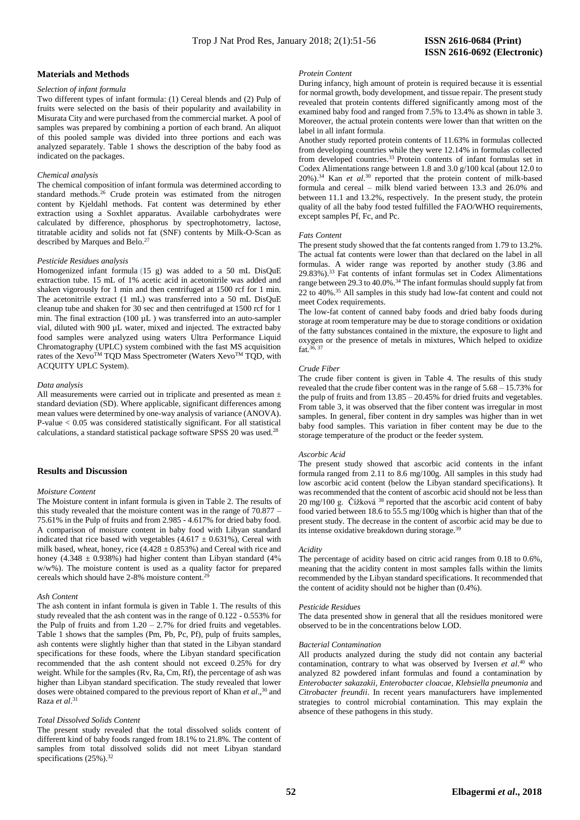## **Materials and Methods**

#### *Selection of infant formula*

Two different types of infant formula: (1) Cereal blends and (2) Pulp of fruits were selected on the basis of their popularity and availability in Misurata City and were purchased from the commercial market. A pool of samples was prepared by combining a portion of each brand. An aliquot of this pooled sample was divided into three portions and each was analyzed separately. Table 1 shows the description of the baby food as indicated on the packages.

#### *Chemical analysis*

The chemical composition of infant formula was determined according to standard methods.<sup>26</sup> Crude protein was estimated from the nitrogen content by Kjeldahl methods. Fat content was determined by ether extraction using a Soxhlet apparatus. Available carbohydrates were calculated by difference, phosphorus by spectrophotometry, lactose, titratable acidity and solids not fat (SNF) contents by Milk-O-Scan as described by Marques and Belo.<sup>27</sup>

## *Pesticide Residues analysis*

Homogenized infant formula (15 g) was added to a 50 mL DisQuE extraction tube. 15 mL of 1% acetic acid in acetonitrile was added and shaken vigorously for 1 min and then centrifuged at 1500 rcf for 1 min. The acetonitrile extract (1 mL) was transferred into a 50 mL DisQuE cleanup tube and shaken for 30 sec and then centrifuged at 1500 rcf for 1 min. The final extraction (100  $\mu$ L) was transferred into an auto-sampler vial, diluted with 900 µL water, mixed and injected. The extracted baby food samples were analyzed using waters Ultra Performance Liquid Chromatography (UPLC) system combined with the fast MS acquisition rates of the Xevo™ TQD Mass Spectrometer (Waters Xevo™ TQD, with ACQUITY UPLC System).

#### *Data analysis*

All measurements were carried out in triplicate and presented as mean ± standard deviation (SD). Where applicable, significant differences among mean values were determined by one-way analysis of variance (ANOVA). P-value < 0.05 was considered statistically significant. For all statistical calculations, a standard statistical package software SPSS 20 was used.<sup>28</sup>

## **Results and Discussion**

#### *Moisture Content*

The Moisture content in infant formula is given in Table 2. The results of this study revealed that the moisture content was in the range of 70.877 – 75.61% in the Pulp of fruits and from 2.985 - 4.617% for dried baby food. A comparison of moisture content in baby food with Libyan standard indicated that rice based with vegetables  $(4.617 \pm 0.631\%)$ , Cereal with milk based, wheat, honey, rice  $(4.428 \pm 0.853%)$  and Cereal with rice and honey (4.348 ± 0.938%) had higher content than Libyan standard (4% w/w%). The moisture content is used as a quality factor for prepared cereals which should have 2-8% moisture content.<sup>29</sup>

#### *Ash Content*

The ash content in infant formula is given in Table 1. The results of this study revealed that the ash content was in the range of 0.122 - 0.553% for the Pulp of fruits and from  $1.20 - 2.7\%$  for dried fruits and vegetables. Table 1 shows that the samples (Pm, Pb, Pc, Pf), pulp of fruits samples, ash contents were slightly higher than that stated in the Libyan standard specifications for these foods, where the Libyan standard specification recommended that the ash content should not exceed 0.25% for dry weight. While for the samples (Rv, Ra, Cm, Rf), the percentage of ash was higher than Libyan standard specification. The study revealed that lower doses were obtained compared to the previous report of Khan *et al*., <sup>30</sup> and Raza *et al*. 31

## *Total Dissolved Solids Content*

The present study revealed that the total dissolved solids content of different kind of baby foods ranged from 18.1% to 21.8%. The content of samples from total dissolved solids did not meet Libyan standard specifications (25%).<sup>32</sup>

#### *Protein Content*

During infancy, high amount of protein is required because it is essential for normal growth, body development, and tissue repair. The present study revealed that protein contents differed significantly among most of the examined baby food and ranged from 7.5% to 13.4% as shown in table 3. Moreover, the actual protein contents were lower than that written on the label in all infant formula.

Another study reported protein contents of 11.63% in formulas collected from developing countries while they were 12.14% in formulas collected from developed countries.<sup>33</sup> Protein contents of infant formulas set in Codex Alimentations range between 1.8 and 3.0 g/100 kcal (about 12.0 to 20%).<sup>34</sup> Kan *et al.*<sup>30</sup> reported that the protein content of milk-based formula and cereal – milk blend varied between 13.3 and 26.0% and between 11.1 and 13.2%, respectively. In the present study, the protein quality of all the baby food tested fulfilled the FAO/WHO requirements, except samples Pf, Fc, and Pc.

#### *Fats Content*

The present study showed that the fat contents ranged from 1.79 to 13.2%. The actual fat contents were lower than that declared on the label in all formulas. A wider range was reported by another study (3.86 and 29.83%).<sup>33</sup> Fat contents of infant formulas set in Codex Alimentations range between 29.3 to  $40.0\%$ .<sup>34</sup> The infant formulas should supply fat from 22 to 40%. <sup>35</sup> All samples in this study had low-fat content and could not meet Codex requirements.

The low-fat content of canned baby foods and dried baby foods during storage at room temperature may be due to storage conditions or oxidation of the fatty substances contained in the mixture, the exposure to light and oxygen or the presence of metals in mixtures, Which helped to oxidize fat.  $36, 37$ 

#### *Crude Fiber*

The crude fiber content is given in Table 4. The results of this study revealed that the crude fiber content was in the range of 5.68 – 15.73% for the pulp of fruits and from 13.85 – 20.45% for dried fruits and vegetables. From table 3, it was observed that the fiber content was irregular in most samples. In general, fiber content in dry samples was higher than in wet baby food samples. This variation in fiber content may be due to the storage temperature of the product or the feeder system.

#### *Ascorbic Acid*

The present study showed that ascorbic acid contents in the infant formula ranged from 2.11 to 8.6 mg/100g. All samples in this study had low ascorbic acid content (below the Libyan standard specifications). It was recommended that the content of ascorbic acid should not be less than  $20 \text{ mg}/100 \text{ g}$ . Čížková <sup>38</sup> reported that the ascorbic acid content of baby food varied between 18.6 to 55.5 mg/100g which is higher than that of the present study. The decrease in the content of ascorbic acid may be due to its intense oxidative breakdown during storage.<sup>39</sup>

#### *Acidity*

The percentage of acidity based on citric acid ranges from 0.18 to 0.6%, meaning that the acidity content in most samples falls within the limits recommended by the Libyan standard specifications. It recommended that the content of acidity should not be higher than (0.4%).

#### *Pesticide Residues*

The data presented show in general that all the residues monitored were observed to be in the concentrations below LOD.

#### *Bacterial Contamination*

All products analyzed during the study did not contain any bacterial contamination, contrary to what was observed by Iversen *et al*. <sup>40</sup> who analyzed 82 powdered infant formulas and found a contamination by *Enterobacter sakazakii, Enterobacter cloacae, Klebsiella pneumonia* and *Citrobacter freundii*. In recent years manufacturers have implemented strategies to control microbial contamination. This may explain the absence of these pathogens in this study.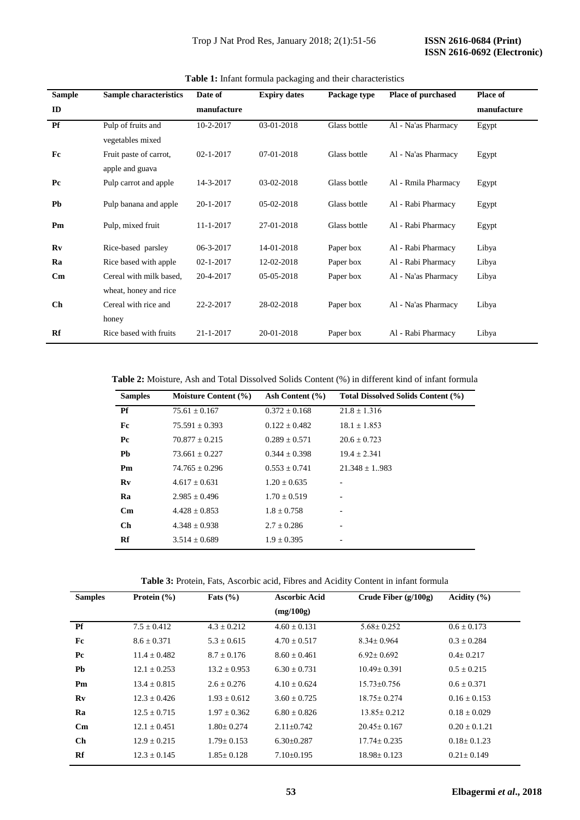| <b>Sample</b>          | <b>Sample characteristics</b> | Date of         | <b>Expiry dates</b> | Package type | <b>Place of purchased</b> | <b>Place of</b> |
|------------------------|-------------------------------|-----------------|---------------------|--------------|---------------------------|-----------------|
| ID                     |                               | manufacture     |                     |              |                           | manufacture     |
| <b>Pf</b>              | Pulp of fruits and            | 10-2-2017       | 03-01-2018          | Glass bottle | Al - Na'as Pharmacy       | Egypt           |
|                        | vegetables mixed              |                 |                     |              |                           |                 |
| Fc                     | Fruit paste of carrot,        | $02 - 1 - 2017$ | 07-01-2018          | Glass bottle | Al - Na'as Pharmacy       | Egypt           |
|                        | apple and guava               |                 |                     |              |                           |                 |
| P <sub>c</sub>         | Pulp carrot and apple         | 14-3-2017       | 03-02-2018          | Glass bottle | Al - Rmila Pharmacy       | Egypt           |
| Pb                     | Pulp banana and apple         | 20-1-2017       | 05-02-2018          | Glass bottle | Al - Rabi Pharmacy        | Egypt           |
| Pm                     | Pulp, mixed fruit             | 11-1-2017       | 27-01-2018          | Glass bottle | Al - Rabi Pharmacy        | Egypt           |
| Rv                     | Rice-based parsley            | 06-3-2017       | 14-01-2018          | Paper box    | Al - Rabi Pharmacy        | Libya           |
| Ra                     | Rice based with apple         | $02 - 1 - 2017$ | 12-02-2018          | Paper box    | Al - Rabi Pharmacy        | Libya           |
| $\mathbf{C}\mathbf{m}$ | Cereal with milk based,       | 20-4-2017       | 05-05-2018          | Paper box    | Al - Na'as Pharmacy       | Libya           |
|                        | wheat, honey and rice         |                 |                     |              |                           |                 |
| Ch                     | Cereal with rice and          | 22-2-2017       | 28-02-2018          | Paper box    | Al - Na'as Pharmacy       | Libya           |
|                        | honey                         |                 |                     |              |                           |                 |
| Rf                     | Rice based with fruits        | 21-1-2017       | 20-01-2018          | Paper box    | Al - Rabi Pharmacy        | Libya           |

**Table 1:** Infant formula packaging and their characteristics

**Table 2:** Moisture, Ash and Total Dissolved Solids Content (%) in different kind of infant formula

| <b>Samples</b>         | Moisture Content (%) | Ash Content $(\% )$ | Total Dissolved Solids Content (%) |
|------------------------|----------------------|---------------------|------------------------------------|
| Pf                     | $75.61 \pm 0.167$    | $0.372 \pm 0.168$   | $21.8 \pm 1.316$                   |
| Fc                     | $75.591 \pm 0.393$   | $0.122 + 0.482$     | $18.1 \pm 1.853$                   |
| Pc                     | $70.877 + 0.215$     | $0.289 + 0.571$     | $20.6 + 0.723$                     |
| Pb                     | $73.661 + 0.227$     | $0.344 + 0.398$     | $19.4 \pm 2.341$                   |
| Pm                     | $74.765 \pm 0.296$   | $0.553 \pm 0.741$   | $21.348 \pm 1.983$                 |
| Rv                     | $4.617 + 0.631$      | $1.20 + 0.635$      |                                    |
| Ra                     | $2.985 + 0.496$      | $1.70 \pm 0.519$    | ۰                                  |
| $\mathbf{C}\mathbf{m}$ | $4.428 + 0.853$      | $1.8 \pm 0.758$     |                                    |
| <b>Ch</b>              | $4.348 \pm 0.938$    | $2.7 \pm 0.286$     |                                    |
| Rf                     | $3.514 \pm 0.689$    | $1.9 \pm 0.395$     | ۰                                  |

**Table 3:** Protein, Fats, Ascorbic acid, Fibres and Acidity Content in infant formula

| <b>Samples</b>         | Protein $(\% )$  | Fats $(\% )$     | <b>Ascorbic Acid</b> | Crude Fiber $(g/100g)$ | Acidity $(\% )$   |
|------------------------|------------------|------------------|----------------------|------------------------|-------------------|
|                        |                  |                  | (mg/100g)            |                        |                   |
| <b>Pf</b>              | $7.5 + 0.412$    | $4.3 + 0.212$    | $4.60 + 0.131$       | $5.68 + 0.252$         | $0.6 \pm 0.173$   |
| Fc                     | $8.6 + 0.371$    | $5.3 + 0.615$    | $4.70 + 0.517$       | $8.34 + 0.964$         | $0.3 \pm 0.284$   |
| P <sub>c</sub>         | $11.4 + 0.482$   | $8.7 + 0.176$    | $8.60 + 0.461$       | $6.92 \pm 0.692$       | $0.4 \pm 0.217$   |
| Pb                     | $12.1 + 0.253$   | $13.2 + 0.953$   | $6.30 + 0.731$       | $10.49 + 0.391$        | $0.5 + 0.215$     |
| Pm                     | $13.4 + 0.815$   | $2.6 + 0.276$    | $4.10 + 0.624$       | $15.73 + 0.756$        | $0.6 \pm 0.371$   |
| Rv                     | $12.3 + 0.426$   | $1.93 + 0.612$   | $3.60 + 0.725$       | $18.75 + 0.274$        | $0.16 + 0.153$    |
| Ra                     | $12.5 + 0.715$   | $1.97 + 0.362$   | $6.80 + 0.826$       | $13.85 + 0.212$        | $0.18 + 0.029$    |
| $\mathbf{C}\mathbf{m}$ | $12.1 + 0.451$   | $1.80 + 0.274$   | $2.11 + 0.742$       | $20.45+0.167$          | $0.20 + 0.1.21$   |
| Ch                     | $12.9 + 0.215$   | $1.79 \pm 0.153$ | $6.30\pm0.287$       | $17.74 \pm 0.235$      | $0.18 \pm 0.1.23$ |
| Rf                     | $12.3 \pm 0.145$ | $1.85 \pm 0.128$ | $7.10\pm0.195$       | $18.98 \pm 0.123$      | $0.21 \pm 0.149$  |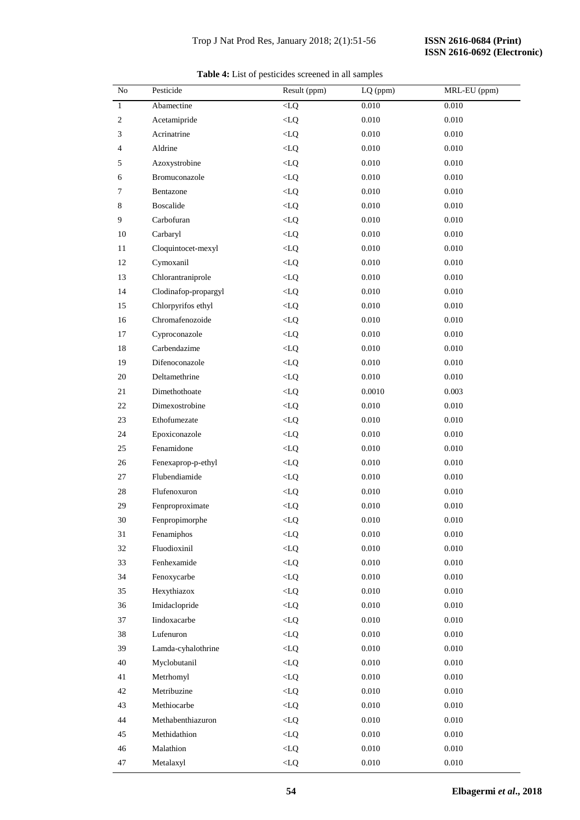| No             | Pesticide            | Result (ppm) | LQ (ppm)  | MRL-EU (ppm) |
|----------------|----------------------|--------------|-----------|--------------|
| $\mathbf{1}$   | Abamectine           | $< LQ$       | 0.010     | 0.010        |
| $\overline{c}$ | Acetamipride         | $< LQ$       | 0.010     | 0.010        |
| 3              | Acrinatrine          | < LQ         | 0.010     | 0.010        |
| 4              | Aldrine              | $< LQ$       | 0.010     | 0.010        |
| 5              | Azoxystrobine        | $< LQ$       | 0.010     | 0.010        |
| 6              | Bromuconazole        | < LQ         | 0.010     | 0.010        |
| 7              | Bentazone            | < LQ         | 0.010     | 0.010        |
| 8              | <b>Boscalide</b>     | $< LQ$       | 0.010     | 0.010        |
| 9              | Carbofuran           | $< LQ$       | 0.010     | 0.010        |
| 10             | Carbaryl             | < LQ         | $0.010\,$ | 0.010        |
| 11             | Cloquintocet-mexyl   | $< LQ$       | 0.010     | 0.010        |
| 12             | Cymoxanil            | < LQ         | 0.010     | 0.010        |
| 13             | Chlorantraniprole    | $< LQ$       | 0.010     | 0.010        |
| 14             | Clodinafop-propargyl | < LQ         | $0.010\,$ | 0.010        |
| 15             | Chlorpyrifos ethyl   | < LQ         | 0.010     | 0.010        |
| 16             | Chromafenozoide      | < LQ         | 0.010     | 0.010        |
| 17             | Cyproconazole        | $< LQ$       | 0.010     | 0.010        |
| 18             | Carbendazime         | $< LQ$       | 0.010     | 0.010        |
| 19             | Difenoconazole       | < LQ         | $0.010\,$ | 0.010        |
| 20             | Deltamethrine        | $< LQ$       | 0.010     | 0.010        |
| 21             | Dimethothoate        | $< LQ$       | 0.0010    | 0.003        |
| 22             | Dimexostrobine       | $< LQ$       | $0.010\,$ | 0.010        |
| 23             | Ethofumezate         | $< LQ$       | $0.010\,$ | 0.010        |
| 24             | Epoxiconazole        | < LQ         | 0.010     | 0.010        |
| 25             | Fenamidone           | < LQ         | 0.010     | 0.010        |
| 26             | Fenexaprop-p-ethyl   | < LQ         | 0.010     | 0.010        |
| 27             | Flubendiamide        | < LQ         | 0.010     | 0.010        |
| 28             | Flufenoxuron         | < LQ         | $0.010\,$ | 0.010        |
| 29             | Fenproproximate      | $<\!\!LQ$    | 0.010     | 0.010        |
| $30\,$         | Fenpropimorphe       | $<\!\!LQ$    | $0.010\,$ | $0.010\,$    |
| 31             | Fenamiphos           | < LQ         | 0.010     | 0.010        |
| 32             | Fluodioxinil         | < LQ         | 0.010     | 0.010        |
| 33             | Fenhexamide          | < LQ         | 0.010     | 0.010        |
| 34             | Fenoxycarbe          | < LQ         | 0.010     | 0.010        |
| 35             | Hexythiazox          | < LQ         | $0.010\,$ | 0.010        |
| 36             | Imidaclopride        | < LQ         | 0.010     | 0.010        |
| 37             | Iindoxacarbe         | < LQ         | 0.010     | 0.010        |
| 38             | Lufenuron            | < LQ         | $0.010\,$ | 0.010        |
| 39             | Lamda-cyhalothrine   | < LQ         | 0.010     | $0.010\,$    |
| 40             | Myclobutanil         | < LQ         | $0.010\,$ | 0.010        |
| 41             | Metrhomyl            | < LQ         | 0.010     | 0.010        |
| 42             | Metribuzine          | < LQ         | 0.010     | $0.010\,$    |
| 43             | Methiocarbe          | < LQ         | 0.010     | 0.010        |
| 44             | Methabenthiazuron    | < LQ         | 0.010     | 0.010        |
| 45             | Methidathion         | < LQ         | 0.010     | 0.010        |
| 46             | Malathion            | $<\!\!LQ$    | 0.010     | $0.010\,$    |
| 47             | Metalaxyl            | $<\!\!LQ$    | $0.010\,$ | $0.010\,$    |

**Table 4:** List of pesticides screened in all samples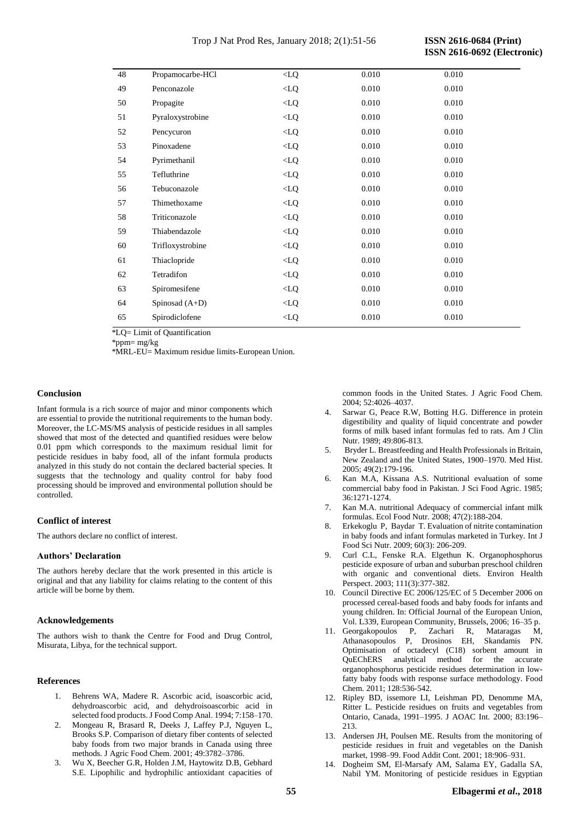| 48 | Propamocarbe-HCl | $<$ LQ | 0.010 | 0.010 |  |
|----|------------------|--------|-------|-------|--|
| 49 | Penconazole      | < LQ   | 0.010 | 0.010 |  |
| 50 | Propagite        | < LQ   | 0.010 | 0.010 |  |
| 51 | Pyraloxystrobine | < LQ   | 0.010 | 0.010 |  |
| 52 | Pencycuron       | < LQ   | 0.010 | 0.010 |  |
| 53 | Pinoxadene       | < LQ   | 0.010 | 0.010 |  |
| 54 | Pyrimethanil     | $<$ LQ | 0.010 | 0.010 |  |
| 55 | Tefluthrine      | < LQ   | 0.010 | 0.010 |  |
| 56 | Tebuconazole     | < LQ   | 0.010 | 0.010 |  |
| 57 | Thimethoxame     | $<$ LQ | 0.010 | 0.010 |  |
| 58 | Triticonazole    | $<$ LQ | 0.010 | 0.010 |  |
| 59 | Thiabendazole    | < LQ   | 0.010 | 0.010 |  |
| 60 | Trifloxystrobine | < LQ   | 0.010 | 0.010 |  |
| 61 | Thiaclopride     | $<$ LQ | 0.010 | 0.010 |  |
| 62 | Tetradifon       | $<$ LQ | 0.010 | 0.010 |  |
| 63 | Spiromesifene    | < LQ   | 0.010 | 0.010 |  |
| 64 | Spinosad $(A+D)$ | < LQ   | 0.010 | 0.010 |  |
| 65 | Spirodiclofene   | < LQ   | 0.010 | 0.010 |  |
|    |                  |        |       |       |  |

\*LQ= Limit of Quantification

\*ppm=  $m\sigma/kg$ 

\*MRL-EU= Maximum residue limits-European Union.

## **Conclusion**

Infant formula is a rich source of major and minor components which are essential to provide the nutritional requirements to the human body. Moreover, the LC-MS/MS analysis of pesticide residues in all samples showed that most of the detected and quantified residues were below 0.01 ppm which corresponds to the maximum residual limit for pesticide residues in baby food, all of the infant formula products analyzed in this study do not contain the declared bacterial species. It suggests that the technology and quality control for baby food processing should be improved and environmental pollution should be controlled.

## **Conflict of interest**

The authors declare no conflict of interest.

## **Authors' Declaration**

The authors hereby declare that the work presented in this article is original and that any liability for claims relating to the content of this article will be borne by them.

## **Acknowledgements**

The authors wish to thank the Centre for Food and Drug Control, Misurata, Libya, for the technical support.

## **References**

- 1. Behrens WA, Madere R. Ascorbic acid, isoascorbic acid, dehydroascorbic acid, and dehydroisoascorbic acid in selected food products. J Food Comp Anal. 1994; 7:158–170.
- 2. Mongeau R, Brasard R, Deeks J, Laffey P.J, Nguyen L, Brooks S.P. Comparison of dietary fiber contents of selected baby foods from two major brands in Canada using three methods. J Agric Food Chem. 2001; 49:3782–3786.
- 3. Wu X, Beecher G.R, Holden J.M, Haytowitz D.B, Gebhard S.E. Lipophilic and hydrophilic antioxidant capacities of

common foods in the United States. J Agric Food Chem. 2004; 52:4026–4037.

- Sarwar G, Peace R.W. Botting H.G. Difference in protein digestibility and quality of liquid concentrate and powder forms of milk based infant formulas fed to rats. Am J Clin Nutr. 1989; 49:806-813.
- 5. Bryder L. Breastfeeding and Health Professionals in Britain, New Zealand and the United States, 1900–1970. Med Hist. 2005; 49(2):179-196.
- 6. Kan M.A, Kissana A.S. Nutritional evaluation of some commercial baby food in Pakistan. J Sci Food Agric. 1985; 36:1271-1274.
- 7. Kan M.A. nutritional Adequacy of commercial infant milk formulas. Ecol Food Nutr. 2008; 47(2):188-204.
- 8. [Erkekoglu P](http://www.ncbi.nlm.nih.gov/pubmed/?term=Erkekoglu%20P%5BAuthor%5D&cauthor=true&cauthor_uid=19360514), [Baydar T](http://www.ncbi.nlm.nih.gov/pubmed/?term=Baydar%20T%5BAuthor%5D&cauthor=true&cauthor_uid=19360514). Evaluation of nitrite contamination in baby foods and infant formulas marketed in Turkey. [Int J](http://www.ncbi.nlm.nih.gov/pubmed/19360514)  [Food Sci Nutr.](http://www.ncbi.nlm.nih.gov/pubmed/19360514) 2009; 60(3): 206-209.
- 9. Curl C.L, Fenske R.A. Elgethun K. Organophosphorus pesticide exposure of urban and suburban preschool children with organic and conventional diets. Environ Health Perspect. 2003; 111(3):377-382.
- 10. Council Directive EC 2006/125/EC of 5 December 2006 on processed cereal-based foods and baby foods for infants and young children. In: Official Journal of the European Union, Vol. L339, European Community, Brussels, 2006; 16–35 p.
- 11. Georgakopoulos P, Zachari R, Mataragas M, Athanasopoulos P, Drosinos EH, Skandamis PN. Optimisation of octadecyl (C18) sorbent amount in QuEChERS analytical method for the accurate organophosphorus pesticide residues determination in lowfatty baby foods with response surface methodology. Food Chem. 2011; 128:536-542.
- 12. Ripley BD, issemore LI, Leishman PD, Denomme MA, Ritter L. Pesticide residues on fruits and vegetables from Ontario, Canada, 1991–1995. J AOAC Int*.* 2000; 83:196– 213.
- 13. Andersen JH, Poulsen ME. Results from the monitoring of pesticide residues in fruit and vegetables on the Danish market, 1998–99. Food Addit Cont*.* 2001; 18:906–931.
- 14. Dogheim SM, El-Marsafy AM, Salama EY, Gadalla SA, Nabil YM. Monitoring of pesticide residues in Egyptian